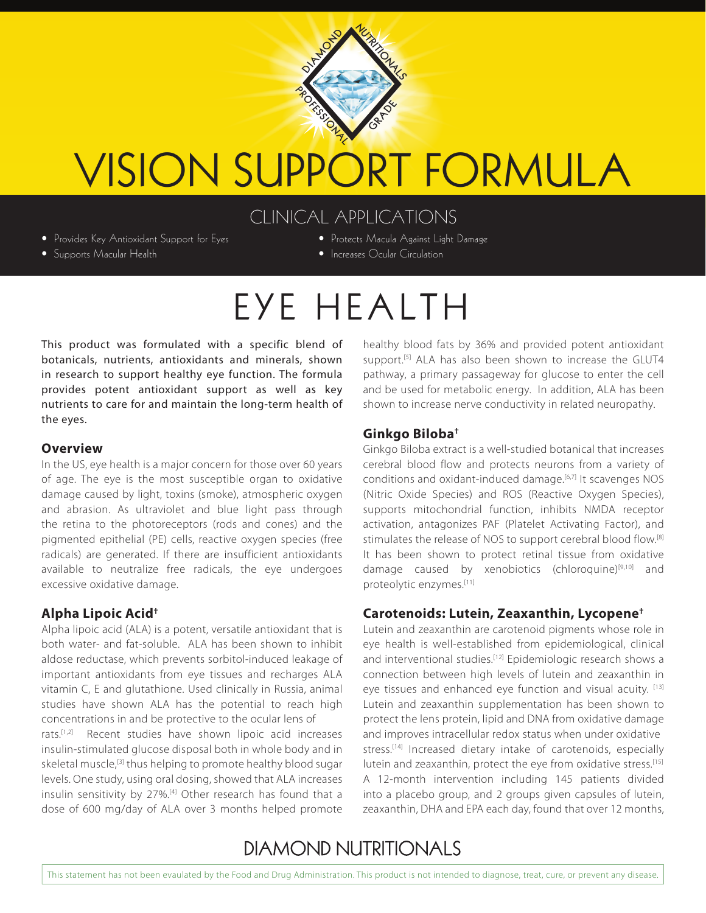

# VISION SUPPORT FORMULA

## CLINICAL APPLICATIONS

• Provides Key Antioxidant Support for Eyes

• Supports Macular Health

- Protects Macula Against Light Damage
- Increases Ocular Circulation

## EYE HEALTH

This product was formulated with a specific blend of botanicals, nutrients, antioxidants and minerals, shown in research to support healthy eye function. The formula provides potent antioxidant support as well as key nutrients to care for and maintain the long-term health of the eyes.

#### **Overview**

In the US, eye health is a major concern for those over 60 years of age. The eye is the most susceptible organ to oxidative damage caused by light, toxins (smoke), atmospheric oxygen and abrasion. As ultraviolet and blue light pass through the retina to the photoreceptors (rods and cones) and the pigmented epithelial (PE) cells, reactive oxygen species (free radicals) are generated. If there are insufficient antioxidants available to neutralize free radicals, the eye undergoes excessive oxidative damage.

#### **Alpha Lipoic Acid†**

Alpha lipoic acid (ALA) is a potent, versatile antioxidant that is both water- and fat-soluble. ALA has been shown to inhibit aldose reductase, which prevents sorbitol-induced leakage of important antioxidants from eye tissues and recharges ALA vitamin C, E and glutathione. Used clinically in Russia, animal studies have shown ALA has the potential to reach high concentrations in and be protective to the ocular lens of

rats.[1,2] Recent studies have shown lipoic acid increases insulin-stimulated glucose disposal both in whole body and in skeletal muscle,<sup>[3]</sup> thus helping to promote healthy blood sugar levels. One study, using oral dosing, showed that ALA increases insulin sensitivity by 27%.<sup>[4]</sup> Other research has found that a dose of 600 mg/day of ALA over 3 months helped promote healthy blood fats by 36% and provided potent antioxidant support.<sup>[5]</sup> ALA has also been shown to increase the GLUT4 pathway, a primary passageway for glucose to enter the cell and be used for metabolic energy. In addition, ALA has been shown to increase nerve conductivity in related neuropathy.

#### **Ginkgo Biloba†**

Ginkgo Biloba extract is a well-studied botanical that increases cerebral blood flow and protects neurons from a variety of conditions and oxidant-induced damage.[6,7] It scavenges NOS (Nitric Oxide Species) and ROS (Reactive Oxygen Species), supports mitochondrial function, inhibits NMDA receptor activation, antagonizes PAF (Platelet Activating Factor), and stimulates the release of NOS to support cerebral blood flow.<sup>[8]</sup> It has been shown to protect retinal tissue from oxidative damage caused by xenobiotics (chloroquine)[9,10] and proteolytic enzymes.[11]

#### **Carotenoids: Lutein, Zeaxanthin, Lycopene†**

Lutein and zeaxanthin are carotenoid pigments whose role in eye health is well-established from epidemiological, clinical and interventional studies.<sup>[12]</sup> Epidemiologic research shows a connection between high levels of lutein and zeaxanthin in eye tissues and enhanced eye function and visual acuity. [13] Lutein and zeaxanthin supplementation has been shown to protect the lens protein, lipid and DNA from oxidative damage and improves intracellular redox status when under oxidative stress.<sup>[14]</sup> Increased dietary intake of carotenoids, especially lutein and zeaxanthin, protect the eye from oxidative stress.<sup>[15]</sup> A 12-month intervention including 145 patients divided into a placebo group, and 2 groups given capsules of lutein, zeaxanthin, DHA and EPA each day, found that over 12 months,

## **DIAMOND NUTRITIONALS**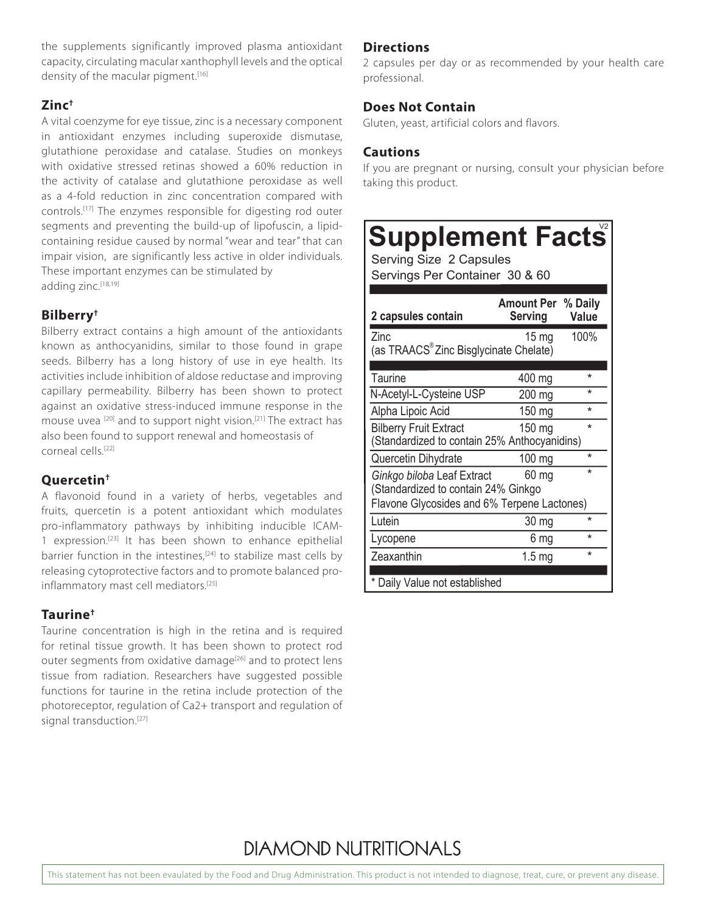the supplements significantly improved plasma antioxidant capacity, circulating macular xanthophyll levels and the optical density of the macular pigment.<sup>[16]</sup>

#### **Zinc†**

A vital coenzyme for eye tissue, zinc is a necessary component in antioxidant enzymes including superoxide dismutase, glutathione peroxidase and catalase. Studies on monkeys with oxidative stressed retinas showed a 60% reduction in the activity of catalase and glutathione peroxidase as well as a 4-fold reduction in zinc concentration compared with controls.[17] The enzymes responsible for digesting rod outer segments and preventing the build-up of lipofuscin, a lipidcontaining residue caused by normal "wear and tear" that can impair vision, are significantly less active in older individuals. These important enzymes can be stimulated by adding zinc.<sup>[18,19]</sup>

#### **Bilberry†**

Bilberry extract contains a high amount of the antioxidants known as anthocyanidins, similar to those found in grape seeds. Bilberry has a long history of use in eye health. Its activities include inhibition of aldose reductase and improving capillary permeability. Bilberry has been shown to protect against an oxidative stress-induced immune response in the mouse uvea <sup>[20]</sup> and to support night vision.<sup>[21]</sup> The extract has also been found to support renewal and homeostasis of corneal cells.[22]

#### **Quercetin†**

A flavonoid found in a variety of herbs, vegetables and fruits, quercetin is a potent antioxidant which modulates pro-inflammatory pathways by inhibiting inducible ICAM-1 expression.[23] It has been shown to enhance epithelial barrier function in the intestines, $[24]$  to stabilize mast cells by releasing cytoprotective factors and to promote balanced proinflammatory mast cell mediators.[25]

#### **Taurine†**

Taurine concentration is high in the retina and is required for retinal tissue growth. It has been shown to protect rod outer segments from oxidative damage<sup>[26]</sup> and to protect lens tissue from radiation. Researchers have suggested possible functions for taurine in the retina include protection of the photoreceptor, regulation of Ca2+ transport and regulation of signal transduction.<sup>[27]</sup>

#### **Directions**

2 capsules per day or as recommended by your health care professional.

#### **Does Not Contain**

Gluten, yeast, artificial colors and flavors.

#### **Cautions**

If you are pregnant or nursing, consult your physician before taking this product.

## **Supplement Facts**

Serving Size 2 Capsules

Servings Per Container 30 & 60

| <b>Amount Per % Daily</b><br>Serving               | Value                                           |  |
|----------------------------------------------------|-------------------------------------------------|--|
| $15 \text{ mg}$                                    | 100%                                            |  |
| (as TRAACS <sup>®</sup> Zinc Bisglycinate Chelate) |                                                 |  |
|                                                    | *                                               |  |
|                                                    |                                                 |  |
|                                                    | ÷                                               |  |
| 150 mg                                             | ÷                                               |  |
| $150$ mg                                           | ÷                                               |  |
| (Standardized to contain 25% Anthocyanidins)       |                                                 |  |
| $100 \text{ mg}$                                   | $\star$                                         |  |
| 60 mg                                              | $\star$                                         |  |
| (Standardized to contain 24% Ginkgo                |                                                 |  |
| Flavone Glycosides and 6% Terpene Lactones)        |                                                 |  |
| 30 mg                                              | $\star$                                         |  |
| 6 mg                                               | ÷                                               |  |
| 1.5 <sub>mg</sub>                                  | ÷                                               |  |
|                                                    |                                                 |  |
|                                                    | 400 mg<br>200 mg<br>Daily Value not established |  |

## **DIAMOND NUTRITIONALS**